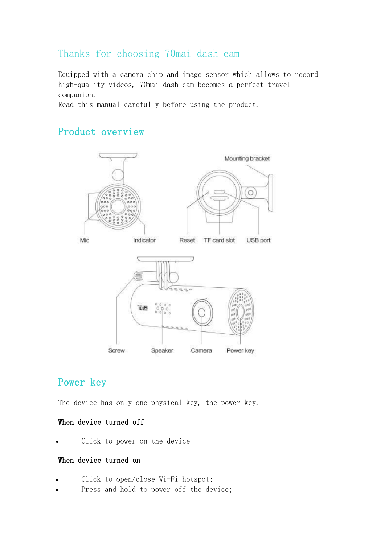## Thanks for choosing 70mai dash cam

Equipped with a camera chip and image sensor which allows to record high-quality videos, 70mai dash cam becomes a perfect travel companion.

Read this manual carefully before using the product.

## Product overview



# Power key

The device has only one physical key, the power key.

### When device turned off

Click to power on the device;

### When device turned on

- Click to open/close Wi-Fi hotspot;
- Press and hold to power off the device;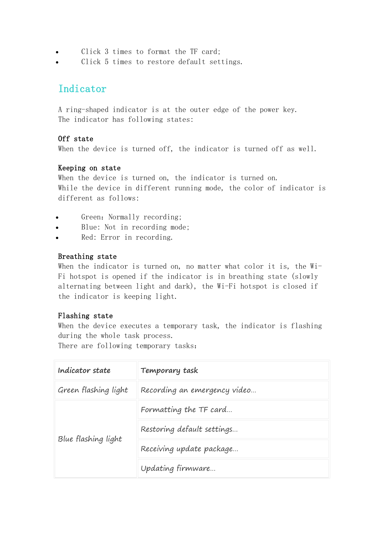- Click 3 times to format the TF card;
- Click 5 times to restore default settings.

# Indicator

A ring-shaped indicator is at the outer edge of the power key. The indicator has following states:

### Off state

When the device is turned off, the indicator is turned off as well.

### Keeping on state

When the device is turned on, the indicator is turned on. While the device in different running mode, the color of indicator is different as follows:

- Green: Normally recording;
- Blue: Not in recording mode;
- Red: Error in recording.

### Breathing state

When the indicator is turned on, no matter what color it is, the Wi-Fi hotspot is opened if the indicator is in breathing state (slowly alternating between light and dark), the Wi-Fi hotspot is closed if the indicator is keeping light.

### Flashing state

When the device executes a temporary task, the indicator is flashing during the whole task process.

There are following temporary tasks:

| Indicator state      | Temporary task               |
|----------------------|------------------------------|
| Green flashing light | Recording an emergency video |
| Blue flashing light  | Formatting the TF card       |
|                      | Restoring default settings   |
|                      | Receiving update package     |
|                      | Updating firmware            |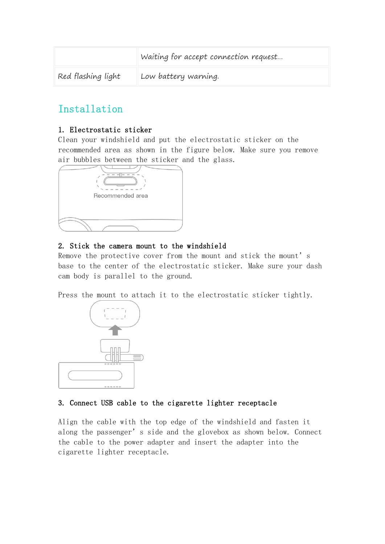|                    | Waiting for accept connection request |
|--------------------|---------------------------------------|
| Red flashing light | Low battery warning.                  |

# Installation

### 1. Electrostatic sticker

Clean your windshield and put the electrostatic sticker on the recommended area as shown in the figure below. Make sure you remove air bubbles between the sticker and the glass.



### 2. Stick the camera mount to the windshield

Remove the protective cover from the mount and stick the mount's base to the center of the electrostatic sticker. Make sure your dash cam body is parallel to the ground.

Press the mount to attach it to the electrostatic sticker tightly.



### 3. Connect USB cable to the cigarette lighter receptacle

Align the cable with the top edge of the windshield and fasten it along the passenger's side and the glovebox as shown below. Connect the cable to the power adapter and insert the adapter into the cigarette lighter receptacle.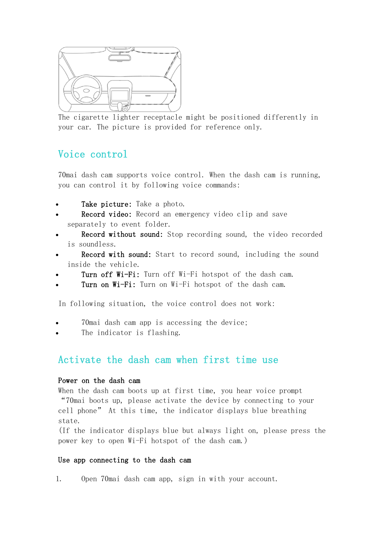

The cigarette lighter receptacle might be positioned differently in your car. The picture is provided for reference only.

# Voice control

70mai dash cam supports voice control. When the dash cam is running, you can control it by following voice commands:

- Take picture: Take a photo.
- Record video: Record an emergency video clip and save separately to event folder.
- Record without sound: Stop recording sound, the video recorded is soundless.
- Record with sound: Start to record sound, including the sound inside the vehicle.
- Turn off Wi-Fi: Turn off Wi-Fi hotspot of the dash cam.
- Turn on Wi-Fi: Turn on Wi-Fi hotspot of the dash cam.

In following situation, the voice control does not work:

- 70mai dash cam app is accessing the device;
- The indicator is flashing.

### Activate the dash cam when first time use

### Power on the dash cam

When the dash cam boots up at first time, you hear voice prompt "70mai boots up, please activate the device by connecting to your cell phone" At this time, the indicator displays blue breathing state.

(If the indicator displays blue but always light on, please press the power key to open Wi-Fi hotspot of the dash cam.)

#### Use app connecting to the dash cam

1. Open 70mai dash cam app, sign in with your account.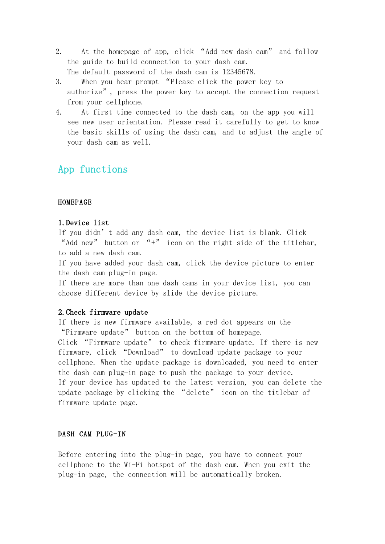- 2. At the homepage of app, click "Add new dash cam" and follow the guide to build connection to your dash cam. The default password of the dash cam is 12345678.
- 3. When you hear prompt "Please click the power key to authorize", press the power key to accept the connection request from your cellphone.
- 4. At first time connected to the dash cam, on the app you will see new user orientation. Please read it carefully to get to know the basic skills of using the dash cam, and to adjust the angle of your dash cam as well.

## App functions

#### HOMEPAGE

#### 1.Device list

If you didn't add any dash cam, the device list is blank. Click "Add new" button or "+" icon on the right side of the titlebar, to add a new dash cam.

If you have added your dash cam, click the device picture to enter the dash cam plug-in page.

If there are more than one dash cams in your device list, you can choose different device by slide the device picture.

#### 2.Check firmware update

If there is new firmware available, a red dot appears on the "Firmware update" button on the bottom of homepage. Click "Firmware update" to check firmware update. If there is new firmware, click "Download" to download update package to your cellphone. When the update package is downloaded, you need to enter the dash cam plug-in page to push the package to your device. If your device has updated to the latest version, you can delete the update package by clicking the "delete" icon on the titlebar of firmware update page.

#### DASH CAM PLUG-IN

Before entering into the plug-in page, you have to connect your cellphone to the Wi-Fi hotspot of the dash cam. When you exit the plug-in page, the connection will be automatically broken.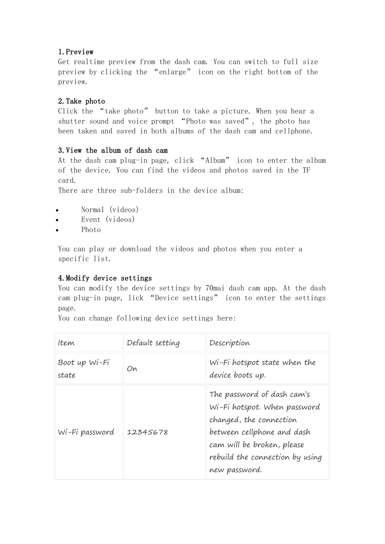### 1.Preview

Get realtime preview from the dash cam. You can switch to full size preview by clicking the "enlarge" icon on the right bottom of the preview.

### 2.Take photo

Click the "take photo" button to take a picture. When you hear a shutter sound and voice prompt "Photo was saved", the photo has been taken and saved in both albums of the dash cam and cellphone.

### 3.View the album of dash cam

At the dash cam plug-in page, click "Album" icon to enter the album of the device. You can find the videos and photos saved in the TF card.

There are three sub-folders in the device album:

- Normal (videos)
- Event (videos)
- Photo

You can play or download the videos and photos when you enter a specific list.

### 4.Modify device settings

You can modify the device settings by 70mai dash cam app. At the dash cam plug-in page, lick "Device settings" icon to enter the settings page.

You can change following device settings here:

| Item                   | Default setting | Description                                                                                                                                                                                           |
|------------------------|-----------------|-------------------------------------------------------------------------------------------------------------------------------------------------------------------------------------------------------|
| Boot up Wi-Fi<br>state | On              | Wi-Fi hotspot state when the<br>device boots up.                                                                                                                                                      |
| Wi-Fi password         | 12345678        | The password of dash cam's<br>Wi-Fi hotspot. When password<br>changed, the connection<br>between cellphone and dash<br>cam will be broken, please<br>rebuild the connection by using<br>new password. |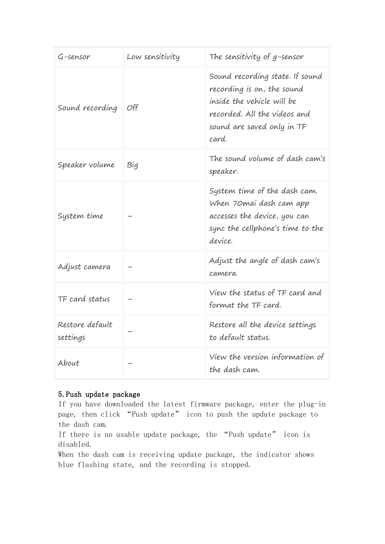| $G$ -sensor                 | Low sensitivity | The sensitivity of $g$ -sensor                                                                                                                                     |
|-----------------------------|-----------------|--------------------------------------------------------------------------------------------------------------------------------------------------------------------|
| Sound recording             | Off             | Sound recording state. If sound<br>recording is on, the sound<br>inside the vehicle will be<br>recorded. All the videos and<br>sound are saved only in TF<br>card. |
| Speaker volume              | Big             | The sound volume of dash cam's<br>speaker.                                                                                                                         |
| System time                 |                 | System time of the dash cam.<br>When 70 mai dash cam app<br>accesses the device, you can<br>sync the cellphone's time to the<br>device.                            |
| Adjust camera               |                 | Adjust the angle of dash cam's<br>camera.                                                                                                                          |
| TF card status              |                 | View the status of TF card and<br>format the TF card.                                                                                                              |
| Restore default<br>settings |                 | Restore all the device settings<br>to default status.                                                                                                              |
| About                       |                 | View the version information of<br>the dash cam.                                                                                                                   |

### 5.Push update package

If you have downloaded the latest firmware package, enter the plug-in page, then click "Push update" icon to push the update package to the dash cam.

If there is no usable update package, the "Push update" icon is disabled.

When the dash cam is receiving update package, the indicator shows blue flashing state, and the recording is stopped.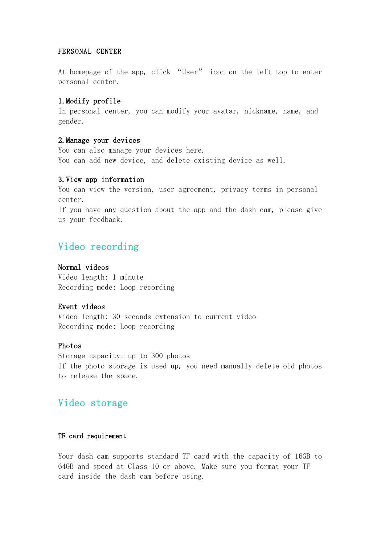#### PERSONAL CENTER

At homepage of the app, click "User" icon on the left top to enter personal center.

### 1.Modify profile

In personal center, you can modify your avatar, nickname, name, and gender.

### 2.Manage your devices

You can also manage your devices here. You can add new device, and delete existing device as well.

#### 3.View app information

You can view the version, user agreement, privacy terms in personal center.

If you have any question about the app and the dash cam, please give us your feedback.

## Video recording

### Normal videos

Video length: 1 minute Recording mode: Loop recording

#### Event videos

Video length: 30 seconds extension to current video Recording mode: Loop recording

#### Photos

Storage capacity: up to 300 photos If the photo storage is used up, you need manually delete old photos to release the space.

## Video storage

### TF card requirement

Your dash cam supports standard TF card with the capacity of 16GB to 64GB and speed at Class 10 or above. Make sure you format your TF card inside the dash cam before using.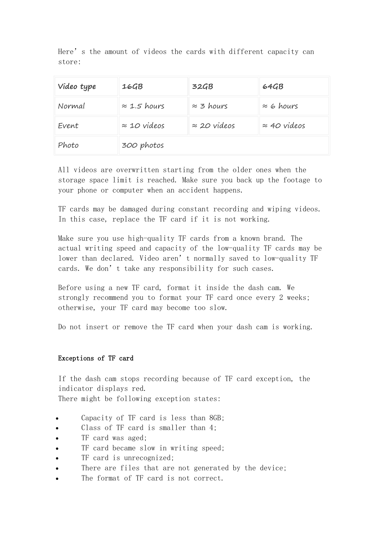Here's the amount of videos the cards with different capacity can store:

| Video type | 16GB                | 32GB                | 64GB                |
|------------|---------------------|---------------------|---------------------|
| Normal     | $\approx$ 1.5 hours | $\approx$ 3 hours   | $\approx$ 6 hours   |
| Event      | $\approx$ 10 videos | $\approx$ 20 videos | $\approx$ 40 videos |
| Photo      | 300 photos          |                     |                     |

All videos are overwritten starting from the older ones when the storage space limit is reached. Make sure you back up the footage to your phone or computer when an accident happens.

TF cards may be damaged during constant recording and wiping videos. In this case, replace the TF card if it is not working.

Make sure you use high-quality TF cards from a known brand. The actual writing speed and capacity of the low-quality TF cards may be lower than declared. Video aren't normally saved to low-quality TF cards. We don't take any responsibility for such cases.

Before using a new TF card, format it inside the dash cam. We strongly recommend you to format your TF card once every 2 weeks; otherwise, your TF card may become too slow.

Do not insert or remove the TF card when your dash cam is working.

### Exceptions of TF card

If the dash cam stops recording because of TF card exception, the indicator displays red. There might be following exception states:

- Capacity of TF card is less than 8GB;
- Class of TF card is smaller than 4;
- TF card was aged;
- TF card became slow in writing speed;
- TF card is unrecognized;
- There are files that are not generated by the device;
- The format of TF card is not correct.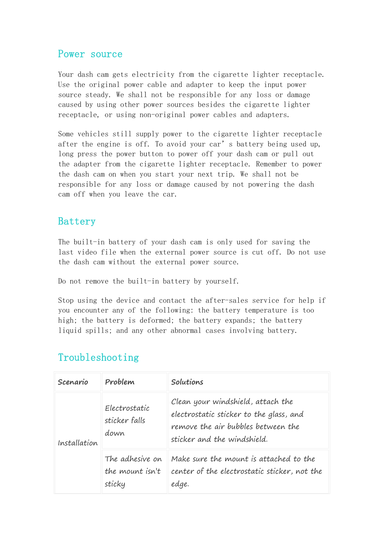### Power source

Your dash cam gets electricity from the cigarette lighter receptacle. Use the original power cable and adapter to keep the input power source steady. We shall not be responsible for any loss or damage caused by using other power sources besides the cigarette lighter receptacle, or using non-original power cables and adapters.

Some vehicles still supply power to the cigarette lighter receptacle after the engine is off. To avoid your car's battery being used up, long press the power button to power off your dash cam or pull out the adapter from the cigarette lighter receptacle. Remember to power the dash cam on when you start your next trip. We shall not be responsible for any loss or damage caused by not powering the dash cam off when you leave the car.

### Battery

The built-in battery of your dash cam is only used for saving the last video file when the external power source is cut off. Do not use the dash cam without the external power source.

Do not remove the built-in battery by yourself.

Stop using the device and contact the after-sales service for help if you encounter any of the following: the battery temperature is too high; the battery is deformed; the battery expands; the battery liquid spills; and any other abnormal cases involving battery.

# Troubleshooting

| Scenario     | Problem                                      | Solutions                                                                                                                                         |
|--------------|----------------------------------------------|---------------------------------------------------------------------------------------------------------------------------------------------------|
| Installation | Electrostatic<br>sticker falls<br>down       | Clean your windshield, attach the<br>electrostatic sticker to the glass, and<br>remove the air bubbles between the<br>sticker and the windshield. |
|              | The adhesive on<br>the mount isn't<br>sticky | Make sure the mount is attached to the<br>center of the electrostatic sticker, not the<br>edge.                                                   |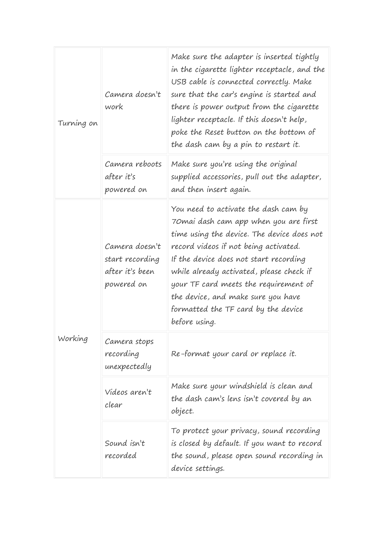| Turning on | Camera doesn't<br>work                                             | Make sure the adapter is inserted tightly<br>in the cigarette lighter receptacle, and the<br>USB cable is connected correctly. Make<br>sure that the car's engine is started and<br>there is power output from the cigarette<br>lighter receptacle. If this doesn't help,<br>poke the Reset button on the bottom of<br>the dash cam by a pin to restart it.                                        |
|------------|--------------------------------------------------------------------|----------------------------------------------------------------------------------------------------------------------------------------------------------------------------------------------------------------------------------------------------------------------------------------------------------------------------------------------------------------------------------------------------|
|            | Camera reboots<br>after it's<br>powered on                         | Make sure you're using the original<br>supplied accessories, pull out the adapter,<br>and then insert again.                                                                                                                                                                                                                                                                                       |
| Working    | Camera doesn't<br>start recording<br>after it's been<br>powered on | You need to activate the dash cam by<br>70 mai dash cam app when you are first<br>time using the device. The device does not<br>record videos if not being activated.<br>If the device does not start recording<br>while already activated, please check if<br>your TF card meets the requirement of<br>the device, and make sure you have<br>formatted the TF card by the device<br>before using. |
|            | Camera stops<br>recording<br>unexpectedly                          | Re-format your card or replace it.                                                                                                                                                                                                                                                                                                                                                                 |
|            | Videos aren't<br>clear                                             | Make sure your windshield is clean and<br>the dash cam's lens isn't covered by an<br>object.                                                                                                                                                                                                                                                                                                       |
|            | Sound isn't<br>recorded                                            | To protect your privacy, sound recording<br>is closed by default. If you want to record<br>the sound, please open sound recording in<br>device settings.                                                                                                                                                                                                                                           |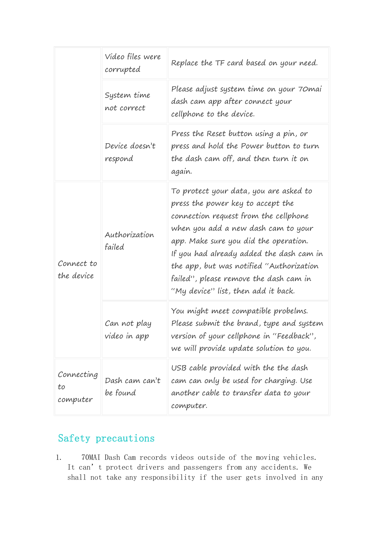|                              | Video files were<br>corrupted | Replace the TF card based on your need.                                                                                                                                                                                                                                                                                                                                       |
|------------------------------|-------------------------------|-------------------------------------------------------------------------------------------------------------------------------------------------------------------------------------------------------------------------------------------------------------------------------------------------------------------------------------------------------------------------------|
|                              | System time<br>not correct    | Please adjust system time on your 70 mai<br>dash cam app after connect your<br>cellphone to the device.                                                                                                                                                                                                                                                                       |
|                              | Device doesn't<br>respond     | Press the Reset button using a pin, or<br>press and hold the Power button to turn<br>the dash cam off, and then turn it on<br>again.                                                                                                                                                                                                                                          |
| Connect to<br>the device     | Authorization<br>failed       | To protect your data, you are asked to<br>press the power key to accept the<br>connection request from the cellphone<br>when you add a new dash cam to your<br>app. Make sure you did the operation.<br>If you had already added the dash cam in<br>the app, but was notified "Authorization<br>failed", please remove the dash cam in<br>"My device" list, then add it back. |
|                              | Can not play<br>video in app  | You might meet compatible probelms.<br>Please submit the brand, type and system<br>version of your cellphone in "Feedback",<br>we will provide update solution to you.                                                                                                                                                                                                        |
| Connecting<br>to<br>computer | Dash cam can't<br>be found    | USB cable provided with the the dash<br>cam can only be used for charging. Use<br>another cable to transfer data to your<br>computer.                                                                                                                                                                                                                                         |

# Safety precautions

1. 70MAI Dash Cam records videos outside of the moving vehicles. It can't protect drivers and passengers from any accidents. We shall not take any responsibility if the user gets involved in any